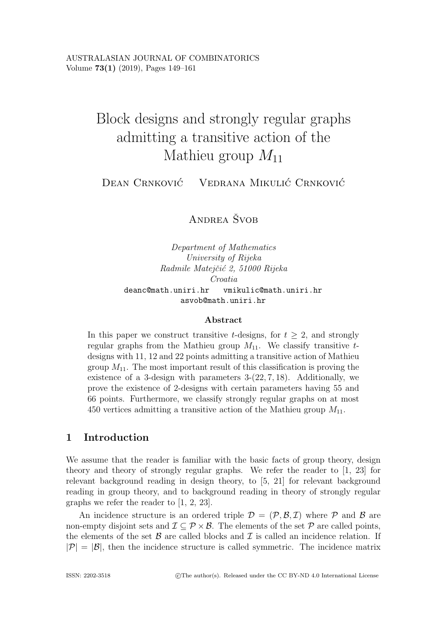# Block designs and strongly regular graphs admitting a transitive action of the Mathieu group  $M_{11}$

DEAN CRNKOVIĆ VEDRANA MIKULIĆ CRNKOVIĆ

ANDREA ŠVOB

*Department of Mathematics University of Rijeka Radmile Matejˇci´c 2, 51000 Rijeka Croatia* deanc@math.uniri.hr vmikulic@math.uniri.hr asvob@math.uniri.hr

## **Abstract**

In this paper we construct transitive t-designs, for  $t > 2$ , and strongly regular graphs from the Mathieu group  $M_{11}$ . We classify transitive tdesigns with 11, 12 and 22 points admitting a transitive action of Mathieu group  $M_{11}$ . The most important result of this classification is proving the existence of a 3-design with parameters  $3-(22, 7, 18)$ . Additionally, we prove the existence of 2-designs with certain parameters having 55 and 66 points. Furthermore, we classify strongly regular graphs on at most 450 vertices admitting a transitive action of the Mathieu group  $M_{11}$ .

# **1 Introduction**

We assume that the reader is familiar with the basic facts of group theory, design theory and theory of strongly regular graphs. We refer the reader to [1, 23] for relevant background reading in design theory, to [5, 21] for relevant background reading in group theory, and to background reading in theory of strongly regular graphs we refer the reader to [1, 2, 23].

An incidence structure is an ordered triple  $\mathcal{D} = (\mathcal{P}, \mathcal{B}, \mathcal{I})$  where  $\mathcal P$  and  $\mathcal B$  are non-empty disjoint sets and  $\mathcal{I} \subseteq \mathcal{P} \times \mathcal{B}$ . The elements of the set  $\mathcal{P}$  are called points, the elements of the set  $\beta$  are called blocks and  $\mathcal I$  is called an incidence relation. If  $|\mathcal{P}| = |\mathcal{B}|$ , then the incidence structure is called symmetric. The incidence matrix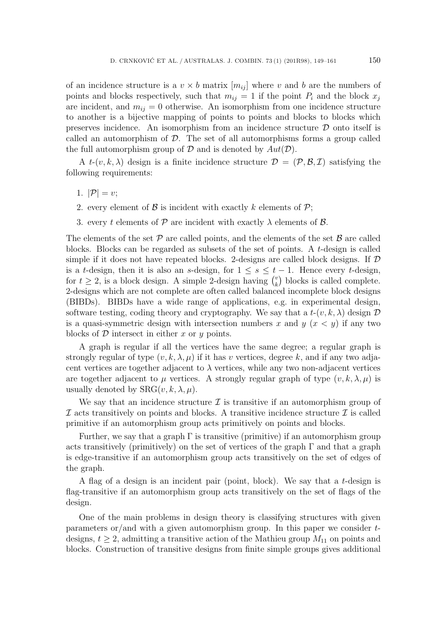of an incidence structure is a  $v \times b$  matrix  $[m_{ii}]$  where v and b are the numbers of points and blocks respectively, such that  $m_{ij} = 1$  if the point  $P_i$  and the block  $x_j$ are incident, and  $m_{ij} = 0$  otherwise. An isomorphism from one incidence structure to another is a bijective mapping of points to points and blocks to blocks which preserves incidence. An isomorphism from an incidence structure  $\mathcal D$  onto itself is called an automorphism of  $D$ . The set of all automorphisms forms a group called the full automorphism group of  $D$  and is denoted by  $Aut(D)$ .

A  $t$ - $(v, k, \lambda)$  design is a finite incidence structure  $\mathcal{D} = (\mathcal{P}, \mathcal{B}, \mathcal{I})$  satisfying the following requirements:

- 1.  $|\mathcal{P}|=v$ ;
- 2. every element of  $\beta$  is incident with exactly k elements of  $\mathcal{P}$ ;
- 3. every t elements of  $P$  are incident with exactly  $\lambda$  elements of  $\beta$ .

The elements of the set  $P$  are called points, and the elements of the set  $B$  are called blocks. Blocks can be regarded as subsets of the set of points. A t-design is called simple if it does not have repeated blocks. 2-designs are called block designs. If  $\mathcal D$ is a t-design, then it is also an s-design, for  $1 \leq s \leq t-1$ . Hence every t-design, for  $t \geq 2$ , is a block design. A simple 2-design having  $\binom{v}{k}$ <br>2-designs which are not complete are often called balance  $\binom{v}{k}$  blocks is called complete. 2-designs which are not complete are often called balanced incomplete block designs (BIBDs). BIBDs have a wide range of applications, e.g. in experimental design, software testing, coding theory and cryptography. We say that a  $t-(v, k, \lambda)$  design  $\mathcal D$ is a quasi-symmetric design with intersection numbers x and  $y(x < y)$  if any two blocks of  $D$  intersect in either x or y points.

A graph is regular if all the vertices have the same degree; a regular graph is strongly regular of type  $(v, k, \lambda, \mu)$  if it has v vertices, degree k, and if any two adjacent vertices are together adjacent to  $\lambda$  vertices, while any two non-adjacent vertices are together adjacent to  $\mu$  vertices. A strongly regular graph of type  $(v, k, \lambda, \mu)$  is usually denoted by  $SRG(v, k, \lambda, \mu)$ .

We say that an incidence structure  $\mathcal I$  is transitive if an automorphism group of  $I$  acts transitively on points and blocks. A transitive incidence structure  $I$  is called primitive if an automorphism group acts primitively on points and blocks.

Further, we say that a graph  $\Gamma$  is transitive (primitive) if an automorphism group acts transitively (primitively) on the set of vertices of the graph  $\Gamma$  and that a graph is edge-transitive if an automorphism group acts transitively on the set of edges of the graph.

A flag of a design is an incident pair (point, block). We say that a  $t$ -design is flag-transitive if an automorphism group acts transitively on the set of flags of the design.

One of the main problems in design theory is classifying structures with given parameters or/and with a given automorphism group. In this paper we consider tdesigns,  $t \geq 2$ , admitting a transitive action of the Mathieu group  $M_{11}$  on points and blocks. Construction of transitive designs from finite simple groups gives additional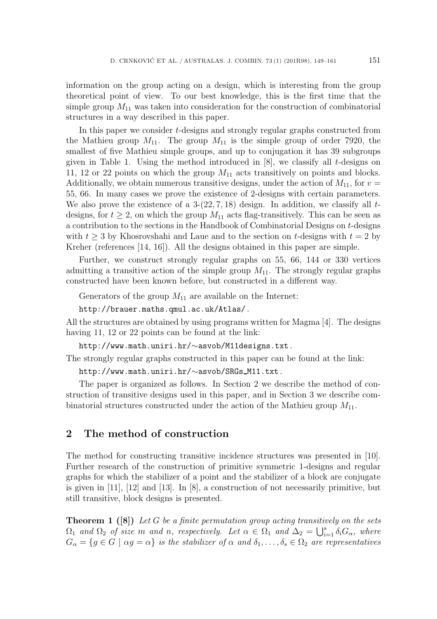information on the group acting on a design, which is interesting from the group theoretical point of view. To our best knowledge, this is the first time that the simple group  $M_{11}$  was taken into consideration for the construction of combinatorial structures in a way described in this paper.

In this paper we consider t-designs and strongly regular graphs constructed from the Mathieu group  $M_{11}$ . The group  $M_{11}$  is the simple group of order 7920, the smallest of five Mathieu simple groups, and up to conjugation it has 39 subgroups given in Table 1. Using the method introduced in  $[8]$ , we classify all t-designs on 11, 12 or 22 points on which the group  $M_{11}$  acts transitively on points and blocks. Additionally, we obtain numerous transitive designs, under the action of  $M_{11}$ , for  $v =$ 55, 66. In many cases we prove the existence of 2-designs with certain parameters. We also prove the existence of a  $3-(22, 7, 18)$  design. In addition, we classify all tdesigns, for  $t \geq 2$ , on which the group  $M_{11}$  acts flag-transitively. This can be seen as a contribution to the sections in the Handbook of Combinatorial Designs on t-designs with  $t \geq 3$  by Khosrovshahi and Laue and to the section on t-designs with  $t = 2$  by Kreher (references [14, 16]). All the designs obtained in this paper are simple.

Further, we construct strongly regular graphs on 55, 66, 144 or 330 vertices admitting a transitive action of the simple group  $M_{11}$ . The strongly regular graphs constructed have been known before, but constructed in a different way.

Generators of the group  $M_{11}$  are available on the Internet:

http://brauer.maths.qmul.ac.uk/Atlas/ .

All the structures are obtained by using programs written for Magma [4]. The designs having 11, 12 or 22 points can be found at the link:

http://www.math.uniri.hr/∼asvob/M11designs.txt .

The strongly regular graphs constructed in this paper can be found at the link:

http://www.math.uniri.hr/∼asvob/SRGs M11.txt .

The paper is organized as follows. In Section 2 we describe the method of construction of transitive designs used in this paper, and in Section 3 we describe combinatorial structures constructed under the action of the Mathieu group  $M_{11}$ .

## **2 The method of construction**

The method for constructing transitive incidence structures was presented in [10]. Further research of the construction of primitive symmetric 1-designs and regular graphs for which the stabilizer of a point and the stabilizer of a block are conjugate is given in [11], [12] and [13]. In [8], a construction of not necessarily primitive, but still transitive, block designs is presented.

**Theorem 1 ([8])** *Let* G *be a finite permutation group acting transitively on the sets*  $\Omega_1$  *and*  $\Omega_2$  *of size* m *and* n, respectively. Let  $\alpha \in \Omega_1$  *and*  $\Delta_2 = \bigcup_{i=1}^s \delta_i G_\alpha$ , where  $G = \{a \in G \mid \alpha a = \alpha\}$  is the stabilizer of  $\alpha$  and  $\delta_i$   $\delta_i \in \Omega_2$  are representatives  $G_{\alpha} = \{g \in G \mid \alpha g = \alpha\}$  *is the stabilizer of*  $\alpha$  *and*  $\delta_1, \ldots, \delta_s \in \Omega_2$  *are representatives*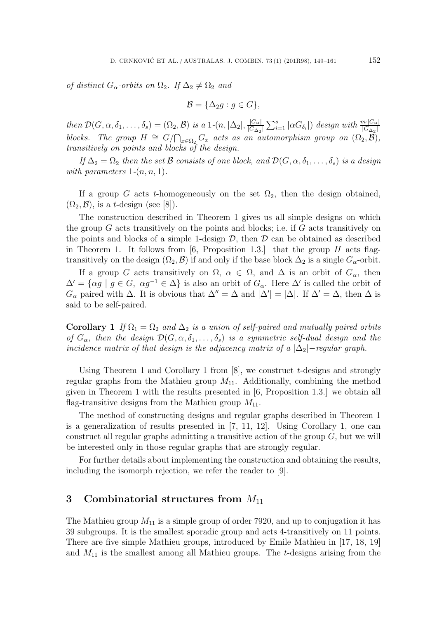*of distinct*  $G_{\alpha}$ -*orbits on*  $\Omega_2$ *. If*  $\Delta_2 \neq \Omega_2$  *and* 

$$
\mathcal{B} = \{ \Delta_2 g : g \in G \},\
$$

 $then \mathcal{D}(G, \alpha, \delta_1, \ldots, \delta_s) = (\Omega_2, \mathcal{B}) \text{ is a } 1-(n, |\Delta_2|, \frac{|G_{\alpha}|}{|G_{\Delta_2}|} \sum_{i=1}^s |\alpha G_{\delta_i}|) \text{ design with } \frac{m \cdot |G_{\alpha}|}{|G_{\Delta_2}|}$ *blocks. The group*  $H \cong G/\bigcap_{x \in \Omega_2} G_x$  *acts as an automorphism group on*  $(\Omega_2, \overline{\mathcal{B}})$ *, transitively on points and blocks of the design transitively on points and blocks of the design.*

*If*  $\Delta_2 = \Omega_2$  *then the set* B *consists of one block, and*  $\mathcal{D}(G, \alpha, \delta_1, \ldots, \delta_s)$  *is a design with parameters*  $1-(n, n, 1)$ *.* 

If a group G acts t-homogeneously on the set  $\Omega_2$ , then the design obtained,  $(\Omega_2, \mathcal{B})$ , is a *t*-design (see [8]).

The construction described in Theorem 1 gives us all simple designs on which the group  $G$  acts transitively on the points and blocks; i.e. if  $G$  acts transitively on the points and blocks of a simple 1-design  $D$ , then  $D$  can be obtained as described in Theorem 1. It follows from [6, Proposition 1.3.] that the group  $H$  acts flagtransitively on the design  $(\Omega_2, \mathcal{B})$  if and only if the base block  $\Delta_2$  is a single  $G_{\alpha}$ -orbit.

If a group G acts transitively on  $\Omega$ ,  $\alpha \in \Omega$ , and  $\Delta$  is an orbit of  $G_{\alpha}$ , then  $\Delta' = {\alpha g | g \in G, \alpha g^{-1} \in \Delta}$  is also an orbit of  $G_{\alpha}$ . Here  $\Delta'$  is called the orbit of  $G_{\alpha}$  paired with  $\Delta$ . It is obvious that  $\Delta'' = \Delta$  and  $|\Delta'| = |\Delta|$ . If  $\Delta' = \Delta$ , then  $\Delta$  is said to be self-paired said to be self-paired.

**Corollary 1** *If*  $\Omega_1 = \Omega_2$  *and*  $\Delta_2$  *is a union of self-paired and mutually paired orbits of*  $G_{\alpha}$ , then the design  $\mathcal{D}(G, \alpha, \delta_1, \ldots, \delta_s)$  *is a symmetric self-dual design and the incidence matrix of that design is the adjacency matrix of a*  $|\Delta_2|$ -*regular graph.* 

Using Theorem 1 and Corollary 1 from  $[8]$ , we construct t-designs and strongly regular graphs from the Mathieu group  $M_{11}$ . Additionally, combining the method given in Theorem 1 with the results presented in [6, Proposition 1.3.] we obtain all flag-transitive designs from the Mathieu group  $M_{11}$ .

The method of constructing designs and regular graphs described in Theorem 1 is a generalization of results presented in [7, 11, 12]. Using Corollary 1, one can construct all regular graphs admitting a transitive action of the group  $G$ , but we will be interested only in those regular graphs that are strongly regular.

For further details about implementing the construction and obtaining the results, including the isomorph rejection, we refer the reader to [9].

## **3** Combinatorial structures from  $M_{11}$

The Mathieu group  $M_{11}$  is a simple group of order 7920, and up to conjugation it has 39 subgroups. It is the smallest sporadic group and acts 4-transitively on 11 points. There are five simple Mathieu groups, introduced by Emile Mathieu in [17, 18, 19] and  $M_{11}$  is the smallest among all Mathieu groups. The t-designs arising from the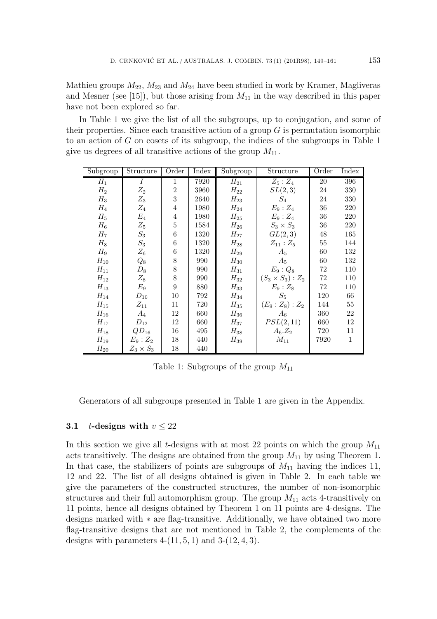Mathieu groups  $M_{22}$ ,  $M_{23}$  and  $M_{24}$  have been studied in work by Kramer, Magliveras and Mesner (see [15]), but those arising from  $M_{11}$  in the way described in this paper have not been explored so far.

In Table 1 we give the list of all the subgroups, up to conjugation, and some of their properties. Since each transitive action of a group  $G$  is permutation isomorphic to an action of  $G$  on cosets of its subgroup, the indices of the subgroups in Table 1 give us degrees of all transitive actions of the group  $M_{11}$ .

| Subgroup       | Structure        | Order          | Index | Subgroup | Structure                | Order | Index        |
|----------------|------------------|----------------|-------|----------|--------------------------|-------|--------------|
| $H_1$          | $\overline{I}$   | $\mathbf{1}$   | 7920  | $H_{21}$ | $Z_5:Z_4$                | 20    | 396          |
| $H_2$          | $Z_2$            | $\overline{2}$ | 3960  | $H_{22}$ | SL(2,3)                  | 24    | 330          |
| $H_3$          | $Z_3$            | 3              | 2640  | $H_{23}$ | $S_4$                    | 24    | 330          |
| $H_4$          | $Z_4$            | $\overline{4}$ | 1980  | $H_{24}$ | $E_9:Z_4$                | 36    | 220          |
| $H_5$          | $E_4$            | $\overline{4}$ | 1980  | $H_{25}$ | $E_9:Z_4$                | 36    | 220          |
| $H_6$          | $Z_5$            | 5              | 1584  | $H_{26}$ | $S_3 \times S_3$         | 36    | 220          |
| H <sub>7</sub> | $\mathcal{S}_3$  | 6              | 1320  | $H_{27}$ | GL(2,3)                  | 48    | 165          |
| $H_8$          | $S_3$            | 6              | 1320  | $H_{28}$ | $Z_{11}:Z_5$             | 55    | 144          |
| $H_9$          | $Z_6$            | 6              | 1320  | $H_{29}$ | $A_5$                    | 60    | 132          |
| $H_{10}$       | $Q_8$            | 8              | 990   | $H_{30}$ | $A_5$                    | 60    | 132          |
| $H_{11}$       | $\mathcal{D}_8$  | 8              | 990   | $H_{31}$ | $E_9:Q_8$                | 72    | 110          |
| $H_{12}$       | $Z_8$            | 8              | 990   | $H_{32}$ | $(S_3 \times S_3) : Z_2$ | 72    | 110          |
| $H_{13}$       | $E_9$            | 9              | 880   | $H_{33}$ | $E_9:Z_8$                | 72    | 110          |
| $H_{14}$       | $D_{10}$         | 10             | 792   | $H_{34}$ | $S_5$                    | 120   | 66           |
| $H_{15}$       | $Z_{11}$         | 11             | 720   | $H_{35}$ | $(E_9:Z_8):Z_2$          | 144   | $55\,$       |
| $H_{16}$       | $A_4$            | 12             | 660   | $H_{36}$ | $A_6$                    | 360   | 22           |
| $H_{17}$       | $D_{12}$         | 12             | 660   | $H_{37}$ | PSL(2,11)                | 660   | 12           |
| $H_{18}$       | $QD_{16}$        | 16             | 495   | $H_{38}$ | $A_6.Z_2$                | 720   | 11           |
| $H_{19}$       | $E_9:Z_2$        | 18             | 440   | $H_{39}$ | $M_{11}$                 | 7920  | $\mathbf{1}$ |
| $H_{20}$       | $Z_3 \times S_3$ | 18             | 440   |          |                          |       |              |

Table 1: Subgroups of the group  $M_{11}$ 

Generators of all subgroups presented in Table 1 are given in the Appendix.

#### **3.1** t-designs with  $v \leq 22$

In this section we give all t-designs with at most 22 points on which the group  $M_{11}$ acts transitively. The designs are obtained from the group  $M_{11}$  by using Theorem 1. In that case, the stabilizers of points are subgroups of  $M_{11}$  having the indices 11, 12 and 22. The list of all designs obtained is given in Table 2. In each table we give the parameters of the constructed structures, the number of non-isomorphic structures and their full automorphism group. The group  $M_{11}$  acts 4-transitively on 11 points, hence all designs obtained by Theorem 1 on 11 points are 4-designs. The designs marked with ∗ are flag-transitive. Additionally, we have obtained two more flag-transitive designs that are not mentioned in Table 2, the complements of the designs with parameters  $4-(11, 5, 1)$  and  $3-(12, 4, 3)$ .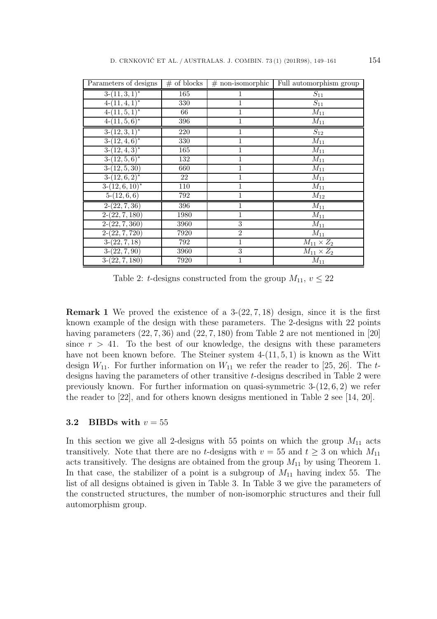| Parameters of designs | $#$ of blocks | $#$ non-isomorphic | Full automorphism group |
|-----------------------|---------------|--------------------|-------------------------|
| $3-(11,3,1)^*$        | 165           |                    | $S_{11}$                |
| $4-(11,4,1)^*$        | 330           | 1                  | $S_{11}$                |
| $4-(11,5,1)^*$        | 66            | 1                  | $\overline{M_{11}}$     |
| $4-(11,5,6)^*$        | 396           | 1                  | $\overline{M}_{11}$     |
| $3-(12,3,1)^*$        | 220           | 1                  | $S_{12}$                |
| $3-(12,4,6)^*$        | 330           | 1                  | $\overline{M}_{11}$     |
| $3-(12,4,3)^*$        | 165           | 1                  | $M_{11}$                |
| $3-(12,5,6)^*$        | 132           | 1                  | $\overline{M}_{11}$     |
| $3-(12, 5, 30)$       | 660           | 1                  | $\overline{M_{11}}$     |
| $3-(12,6,2)^{*}$      | 22            | 1                  | $\overline{M}_{11}$     |
| $3-(12,6,10)^*$       | 110           |                    | $\overline{M}_{11}$     |
| $5-(12,6,6)$          | 792           |                    | $M_{12}$                |
| $2-(22, 7, 36)$       | 396           | 1                  | $M_{11}$                |
| $2-(22, 7, 180)$      | 1980          | 1                  | $M_{11}$                |
| $2-(22, 7, 360)$      | 3960          | $\overline{3}$     | $M_{11}$                |
| $2-(22, 7, 720)$      | 7920          | $\overline{2}$     | $\overline{M}_{11}$     |
| $3-(22, 7, 18)$       | 792           | 1                  | $M_{11} \times Z_2$     |
| $3-(22,7,90)$         | 3960          | $\overline{3}$     | $M_{11} \times Z_2$     |
| $3-(22, 7, 180)$      | 7920          | 1                  | $M_{11}$                |

Table 2: t-designs constructed from the group  $M_{11}$ ,  $v \leq 22$ 

**Remark 1** We proved the existence of a 3-(22, <sup>7</sup>, 18) design, since it is the first known example of the design with these parameters. The 2-designs with 22 points having parameters  $(22, 7, 36)$  and  $(22, 7, 180)$  from Table 2 are not mentioned in [20] since  $r > 41$ . To the best of our knowledge, the designs with these parameters have not been known before. The Steiner system  $4-(11, 5, 1)$  is known as the Witt design  $W_{11}$ . For further information on  $W_{11}$  we refer the reader to [25, 26]. The tdesigns having the parameters of other transitive t-designs described in Table 2 were previously known. For further information on quasi-symmetric 3-(12, <sup>6</sup>, 2) we refer the reader to [22], and for others known designs mentioned in Table 2 see [14, 20].

#### **3.2 BIBDs with**  $v = 55$

In this section we give all 2-designs with 55 points on which the group  $M_{11}$  acts transitively. Note that there are no t-designs with  $v = 55$  and  $t \ge 3$  on which  $M_{11}$ acts transitively. The designs are obtained from the group  $M_{11}$  by using Theorem 1. In that case, the stabilizer of a point is a subgroup of  $M_{11}$  having index 55. The list of all designs obtained is given in Table 3. In Table 3 we give the parameters of the constructed structures, the number of non-isomorphic structures and their full automorphism group.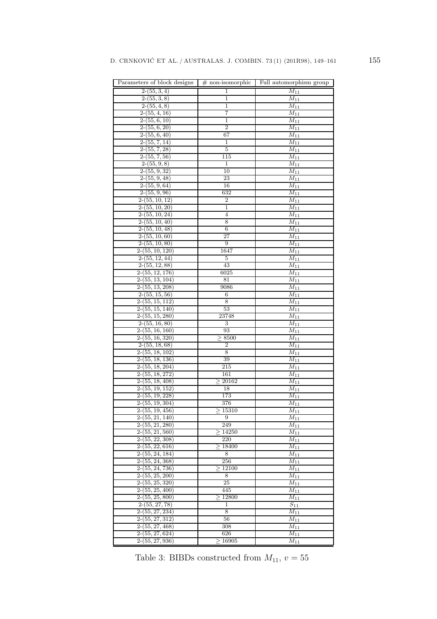| Parameters of block designs  | $#$ non-isomorphic | Full automorphism group |
|------------------------------|--------------------|-------------------------|
| $2-(55,3,4)$                 | 1                  | $\overline{M}_{11}$     |
| $2-(55,3,8)$                 | $\mathbf 1$        | $M_{11}$                |
| $2-(55,4,8)$                 | $\mathbf 1$        | $M_{11}$                |
| $2-(55, 4, 16)$              | 7                  | $M_{11}$                |
| $2-(55, 6, 10)$              | $\mathbf 1$        | $M_{11}$                |
| $2-(55,6,20)$                | $\overline{2}$     | $\overline{M_{11}}$     |
| $2-(55,6,40)$                | 67                 | $M_{11}$                |
| $2-(55, 7, 14)$              | 1                  | $M_{11}$                |
| $2-(55, 7, 28)$              | $\overline{5}$     | $M_{11}$                |
| $2-(55, 7, 56)$              | 115                | $M_{11}$                |
| $2-(55,9,8)$                 | 1                  | $\overline{M}_{11}$     |
| $2-(55, 9, 32)$              | 10                 | $M_{11}$                |
| $2-(55, 9, 48)$              | 23                 | $\overline{M_{11}}$     |
| $2-(55,9,64)$                | 16                 | $\overline{M}_{11}$     |
| $2-(55, 9, 96)$              | 632                | $M_{11}$                |
| $2-(55, 10, 12)$             | $\overline{2}$     | $M_{11}$                |
| $2-(55, 10, 20)$             | $\mathbf 1$        | $M_{11}$                |
| $\overline{2-}$ (55, 10, 24) | $\overline{4}$     | $\overline{M}_{11}$     |
| $2-(55, 10, 40)$             | 8                  | $\overline{M}_{11}$     |
| $2-(55, 10, 48)$             | 6                  | $M_{11}$                |
| $2-(55, 10, 60)$             | 27                 | $\overline{M_{11}}$     |
| $2-(55, 10, 80)$             | 9                  | $M_{11}$                |
| $2-(55, 10, 120)$            | 1647               | $\overline{M}_{11}$     |
| $2-(55, 12, 44)$             | 5                  | $\overline{M_{11}}$     |
| $2-(55, 12, 88)$             | 43                 | $M_{11}$                |
| $2-(55, 12, 176)$            | 6025               | $M_{11}$                |
| $2-(55, 13, 104)$            | 81                 | $M_{11}$                |
| $2-(55, 13, 208)$            | 9086               | $M_{11}$                |
| $2-(55, 15, 56)$             | 6                  | $M_{11}$                |
| $2-(55, 15, 112)$            | 8                  | $M_{11}$                |
| $2-(55, 15, 140)$            | 53                 | $M_{11}$                |
| $2-(55, 15, 280)$            | 23748              | $M_{11}$                |
| $2-(55, 16, 80)$             | 3                  | $M_{11}$                |
| $2-(55, 16, 160)$            | 93                 | $M_{11}$                |
| $2-(55, 16, 320)$            | $\geq 8500$        | $M_{11}$                |
| $2-(55, 18, 68)$             | $\overline{2}$     | $M_{11}$                |
| $2-(55, 18, 102)$            | 8                  | $\overline{M}_{11}$     |
| $2-(55, 18, 136)$            | 39                 | $M_{11}$                |
| $2-(55, 18, 204)$            | 215                | $\overline{M}_{11}$     |
| $2-(55, 18, 272)$            | 161                | $M_{11}$                |
| $2-(55, 18, 408)$            | > 20162            | $M_{11}$                |
| $2-(55, 19, 152)$            | 18                 | $M_{11}$                |
| $2-(55, 19, 228)$            | 173                | $M_{11}$                |
| $2-(55, 19, 304)$            | 376                | $\overline{M}_{11}$     |
| 2-(55, 19, 456)              | >15310             | $M_{11}$                |
| $2-(55, 21, 140)$            | 9                  | $\overline{M}_{11}$     |
| $2-(55, 21, 280)$            | 249                | $M_{11}$                |
| $2-(55, 21, 560)$            | >14250             | $\overline{M_{11}}$     |
| $2-(55, 22, 308)$            | 220                | $\overline{M_{11}}$     |
| $\overline{2-(55,22,616)}$   | $\geq 18400$       | $M_{11}$                |
| $2-(55, 24, 184)$            | 8                  | $M_{11}$                |
| $2-(55, 24, 368)$            | 256                | $M_{11}$                |
| $2-(55, 24, 736)$            | >12100             | $M_{11}$                |
| $2-(55, 25, 200)$            | 8                  | $M_{11}$                |
| $2-(55, 25, 320)$            | 25                 | $\overline{M_{11}}$     |
| $2-(55, 25, 400)$            | 445                | $M_{11}$                |
| $2-(55, 25, 800)$            | >12800             | $M_{11}$                |
| $2-(55, 27, 78)$             | $\mathbf{1}$       | $S_{11}$                |
| $2-(55, 27, 234)$            | 8                  | $M_{11}$                |
| $2-(55, 27, 312)$            | 56                 | $M_{11}$                |
| $2-(55, 27, 468)$            | 308                | $M_{11}$                |
| $2-(55, 27, 624)$            | 626                | $\overline{M_{11}}$     |
| $2-(55, 27, 936)$            | $\geq 16905$       | $M_{11}$                |

Table 3: BIBDs constructed from  $M_{11},\,v=55$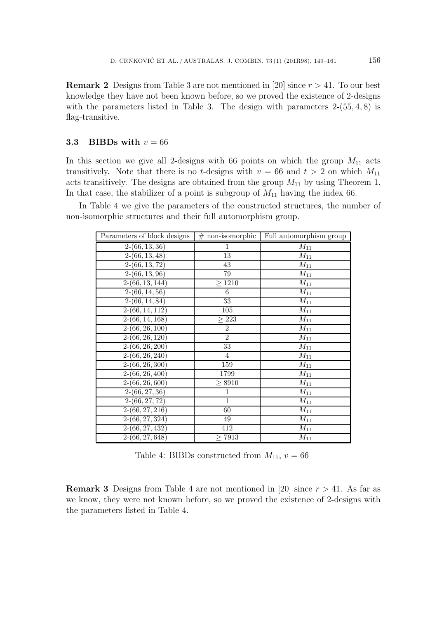**Remark 2** Designs from Table 3 are not mentioned in [20] since  $r > 41$ . To our best knowledge they have not been known before, so we proved the existence of 2-designs with the parameters listed in Table 3. The design with parameters  $2-(55, 4, 8)$  is flag-transitive.

#### **3.3 BIBDs with**  $v = 66$

In this section we give all 2-designs with 66 points on which the group  $M_{11}$  acts transitively. Note that there is no *t*-designs with  $v = 66$  and  $t > 2$  on which  $M_{11}$ acts transitively. The designs are obtained from the group  $M_{11}$  by using Theorem 1. In that case, the stabilizer of a point is subgroup of  $M_{11}$  having the index 66.

In Table 4 we give the parameters of the constructed structures, the number of non-isomorphic structures and their full automorphism group.

| Parameters of block designs | $#$ non-isomorphic | Full automorphism group |
|-----------------------------|--------------------|-------------------------|
| $2-(66, 13, 36)$            | 1                  | $M_{11}$                |
| $\overline{2-(66, 13, 48)}$ | 13                 | $M_{11}$                |
| $\overline{2-(66,13,72)}$   | 43                 | $M_{11}$                |
| $2-(66, 13, 96)$            | 79                 | $M_{11}$                |
| $2-(66, 13, 144)$           | $\geq 1210$        | $M_{11}$                |
| $\overline{2-(66, 14, 56)}$ | 6                  | $M_{11}$                |
| $2-(66, 14, 84)$            | 33                 | $M_{11}$                |
| $2-(66, 14, 112)$           | $\overline{105}$   | ${\cal M}_{11}$         |
| $\overline{2-(66,14,168)}$  | $\geq 223$         | $M_{11}$                |
| $2-(66, 26, 100)$           | $\overline{2}$     | $M_{11}$                |
| $2-(66, 26, 120)$           | $\overline{2}$     | $M_{11}$                |
| $\overline{2-(66,26,200)}$  | 33                 | $M_{11}$                |
| $\overline{2-(66,26,240)}$  | $\overline{4}$     | $M_{11}$                |
| $2-(66, 26, 300)$           | 159                | $\overline{M_{11}}$     |
| $2-(66, 26, 400)$           | 1799               | $M_{11}$                |
| $2-(66, 26, 600)$           | $\geq 8910$        | $M_{11}$                |
| $2-(66, 27, 36)$            | $\overline{1}$     | $\overline{M}_{11}$     |
| $2-(66, 27, 72)$            | $\mathbf{1}$       | $M_{11}$                |
| $2-(66, 27, 216)$           | 60                 | $M_{11}$                |
| $2-(66, 27, 324)$           | 49                 | $M_{11}$                |
| $\overline{2-(66,27,432)}$  | 412                | $M_{11}$                |
| $2-(66, 27, 648)$           | $\geq$ 7913        | $M_{11}$                |

Table 4: BIBDs constructed from  $M_{11}$ ,  $v = 66$ 

**Remark 3** Designs from Table 4 are not mentioned in [20] since  $r > 41$ . As far as we know, they were not known before, so we proved the existence of 2-designs with the parameters listed in Table 4.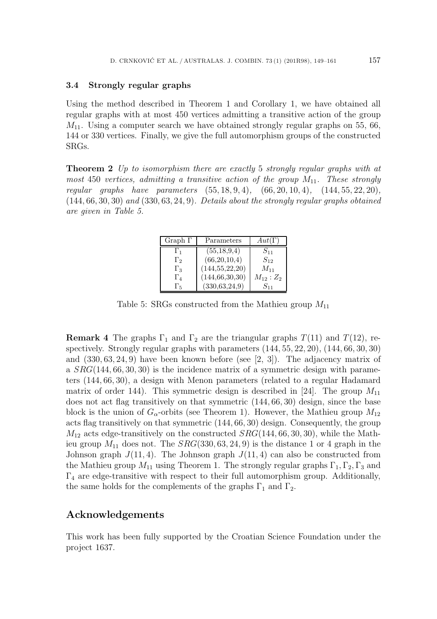#### **3.4 Strongly regular graphs**

Using the method described in Theorem 1 and Corollary 1, we have obtained all regular graphs with at most 450 vertices admitting a transitive action of the group  $M_{11}$ . Using a computer search we have obtained strongly regular graphs on 55, 66, 144 or 330 vertices. Finally, we give the full automorphism groups of the constructed SRGs.

**Theorem 2** *Up to isomorphism there are exactly* 5 *strongly regular graphs with at most* 450 *vertices, admitting a transitive action of the group*  $M_{11}$ *. These strongly regular graphs have parameters* (55, <sup>18</sup>, <sup>9</sup>, 4)*,* (66, <sup>20</sup>, <sup>10</sup>, 4)*,* (144, <sup>55</sup>, <sup>22</sup>, 20)*,* (144, <sup>66</sup>, <sup>30</sup>, 30) *and* (330, <sup>63</sup>, <sup>24</sup>, 9)*. Details about the strongly regular graphs obtained are given in Table 5.*

| Graph $\Gamma$ | Parameters        | $Aut(\Gamma)$ |
|----------------|-------------------|---------------|
| $\Gamma_1$     | (55, 18, 9, 4)    | $S_{11}$      |
| $\Gamma_2$     | (66,20,10,4)      | $S_{12}$      |
| $\Gamma_3$     | (144, 55, 22, 20) | $M_{11}$      |
| $\Gamma_4$     | (144, 66, 30, 30) | $M_{12}:Z_2$  |
| $\Gamma_5$     | (330, 63, 24, 9)  | $S_{11}$      |

Table 5: SRGs constructed from the Mathieu group  $M_{11}$ 

**Remark 4** The graphs  $\Gamma_1$  and  $\Gamma_2$  are the triangular graphs  $T(11)$  and  $T(12)$ , respectively. Strongly regular graphs with parameters (144, <sup>55</sup>, <sup>22</sup>, 20), (144, <sup>66</sup>, <sup>30</sup>, 30) and (330, <sup>63</sup>, <sup>24</sup>, 9) have been known before (see [2, 3]). The adjacency matrix of a  $SRG(144, 66, 30, 30)$  is the incidence matrix of a symmetric design with parameters (144, <sup>66</sup>, 30), a design with Menon parameters (related to a regular Hadamard matrix of order 144). This symmetric design is described in [24]. The group  $M_{11}$ does not act flag transitively on that symmetric (144, <sup>66</sup>, 30) design, since the base block is the union of  $G_{\alpha}$ -orbits (see Theorem 1). However, the Mathieu group  $M_{12}$ acts flag transitively on that symmetric (144, <sup>66</sup>, 30) design. Consequently, the group  $M_{12}$  acts edge-transitively on the constructed  $SRG(144, 66, 30, 30)$ , while the Mathieu group  $M_{11}$  does not. The  $SRG(330, 63, 24, 9)$  is the distance 1 or 4 graph in the Johnson graph  $J(11,4)$ . The Johnson graph  $J(11,4)$  can also be constructed from the Mathieu group  $M_{11}$  using Theorem 1. The strongly regular graphs  $\Gamma_1$ ,  $\Gamma_2$ ,  $\Gamma_3$  and  $\Gamma_4$  are edge-transitive with respect to their full automorphism group. Additionally, the same holds for the complements of the graphs  $\Gamma_1$  and  $\Gamma_2$ .

## **Acknowledgements**

This work has been fully supported by the Croatian Science Foundation under the project 1637.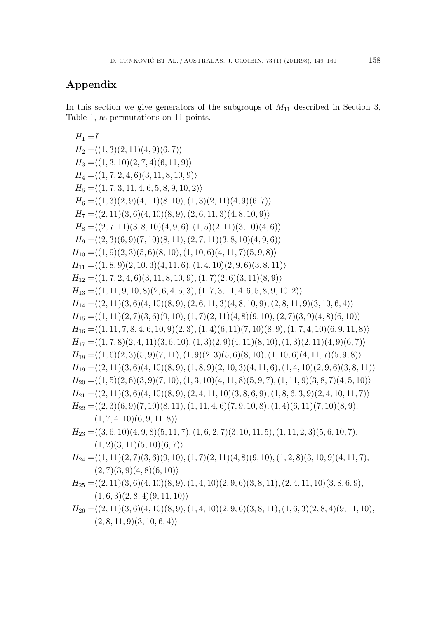# **Appendix**

In this section we give generators of the subgroups of  $M_{11}$  described in Section 3, Table 1, as permutations on 11 points.

 $H_1 = I$  $H_2 = \langle (1,3)(2,11)(4,9)(6,7) \rangle$  $H_3 = \langle (1, 3, 10)(2, 7, 4)(6, 11, 9) \rangle$  $H_4 = \langle (1, 7, 2, 4, 6)(3, 11, 8, 10, 9) \rangle$  $H_5 = \langle (1, 7, 3, 11, 4, 6, 5, 8, 9, 10, 2) \rangle$  $H_6 = \langle (1, 3)(2, 9)(4, 11)(8, 10), (1, 3)(2, 11)(4, 9)(6, 7) \rangle$  $H_7 = \langle (2, 11)(3, 6)(4, 10)(8, 9), (2, 6, 11, 3)(4, 8, 10, 9) \rangle$  $H_8 = \langle (2, 7, 11)(3, 8, 10)(4, 9, 6), (1, 5)(2, 11)(3, 10)(4, 6) \rangle$  $H_9 = \langle (2, 3)(6, 9)(7, 10)(8, 11), (2, 7, 11)(3, 8, 10)(4, 9, 6) \rangle$  $H_{10} = \langle (1, 9)(2, 3)(5, 6)(8, 10), (1, 10, 6)(4, 11, 7)(5, 9, 8) \rangle$  $H_{11} = \langle (1, 8, 9)(2, 10, 3)(4, 11, 6), (1, 4, 10)(2, 9, 6)(3, 8, 11) \rangle$  $H_{12} = \langle (1, 7, 2, 4, 6)(3, 11, 8, 10, 9), (1, 7)(2, 6)(3, 11)(8, 9) \rangle$  $H_{13} = \langle (1, 11, 9, 10, 8)(2, 6, 4, 5, 3), (1, 7, 3, 11, 4, 6, 5, 8, 9, 10, 2) \rangle$  $H_{14} = \langle (2, 11)(3, 6)(4, 10)(8, 9), (2, 6, 11, 3)(4, 8, 10, 9), (2, 8, 11, 9)(3, 10, 6, 4) \rangle$  $H_{15} = \langle (1, 11)(2, 7)(3, 6)(9, 10), (1, 7)(2, 11)(4, 8)(9, 10), (2, 7)(3, 9)(4, 8)(6, 10) \rangle$  $H_{16} = \langle (1, 11, 7, 8, 4, 6, 10, 9)(2, 3), (1, 4)(6, 11)(7, 10)(8, 9), (1, 7, 4, 10)(6, 9, 11, 8) \rangle$  $H_{17} = \langle (1, 7, 8)(2, 4, 11)(3, 6, 10), (1, 3)(2, 9)(4, 11)(8, 10), (1, 3)(2, 11)(4, 9)(6, 7) \rangle$  $H_{18} = \langle (1,6)(2,3)(5,9)(7,11), (1,9)(2,3)(5,6)(8,10), (1,10,6)(4,11,7)(5,9,8) \rangle$  $H_{19} = \langle (2, 11)(3, 6)(4, 10)(8, 9), (1, 8, 9)(2, 10, 3)(4, 11, 6), (1, 4, 10)(2, 9, 6)(3, 8, 11) \rangle$  $H_{20} = \langle (1, 5)(2, 6)(3, 9)(7, 10), (1, 3, 10)(4, 11, 8)(5, 9, 7), (1, 11, 9)(3, 8, 7)(4, 5, 10) \rangle$  $H_{21} = \langle (2, 11)(3, 6)(4, 10)(8, 9), (2, 4, 11, 10)(3, 8, 6, 9), (1, 8, 6, 3, 9)(2, 4, 10, 11, 7) \rangle$  $H_{22} = \langle (2, 3)(6, 9)(7, 10)(8, 11), (1, 11, 4, 6)(7, 9, 10, 8), (1, 4)(6, 11)(7, 10)(8, 9),$  $(1, 7, 4, 10)(6, 9, 11, 8)$  $H_{23} = \langle (3, 6, 10)(4, 9, 8)(5, 11, 7), (1, 6, 2, 7)(3, 10, 11, 5), (1, 11, 2, 3)(5, 6, 10, 7),$  $(1, 2)(3, 11)(5, 10)(6, 7)$  $H_{24} = \langle (1, 11)(2, 7)(3, 6)(9, 10), (1, 7)(2, 11)(4, 8)(9, 10), (1, 2, 8)(3, 10, 9)(4, 11, 7),$  $(2, 7)(3, 9)(4, 8)(6, 10)$  $H_{25} = \langle (2, 11)(3, 6)(4, 10)(8, 9), (1, 4, 10)(2, 9, 6)(3, 8, 11), (2, 4, 11, 10)(3, 8, 6, 9),$  $(1, 6, 3)(2, 8, 4)(9, 11, 10)$ 

 $H_{26} = \langle (2, 11)(3, 6)(4, 10)(8, 9), (1, 4, 10)(2, 9, 6)(3, 8, 11), (1, 6, 3)(2, 8, 4)(9, 11, 10),$  $(2, 8, 11, 9)(3, 10, 6, 4)$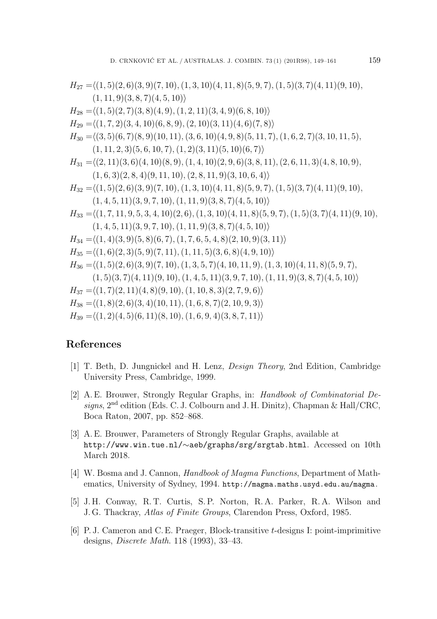$$
H_{27} = \langle (1,5)(2,6)(3,9)(7,10), (1,3,10)(4,11,8)(5,9,7), (1,5)(3,7)(4,11)(9,10),(1,11,9)(3,8,7)(4,5,10)\rangle
$$
  
\n
$$
H_{28} = \langle (1,5)(2,7)(3,8)(4,9), (1,2,11)(3,4,9)(6,8,10)\rangle
$$
  
\n
$$
H_{29} = \langle (1,7,2)(3,4,10)(6,8,9), (2,10)(3,11)(4,6)(7,8)\rangle
$$
  
\n
$$
H_{30} = \langle (3,5)(6,7)(8,9)(10,11), (3,6,10)(4,9,8)(5,11,7), (1,6,2,7)(3,10,11,5),(1,11,2,3)(5,6,10,7), (1,2)(3,11)(5,10)(6,7)\rangle
$$
  
\n
$$
H_{31} = \langle (2,11)(3,6)(4,10)(8,9), (1,4,10)(2,9,6)(3,8,11), (2,6,11,3)(4,8,10,9),(1,6,3)(2,8,4)(9,11,10), (2,8,11,9)(3,10,6,4)\rangle
$$
  
\n
$$
H_{32} = \langle (1,5)(2,6)(3,9)(7,10), (1,3,10)(4,11,8)(5,9,7), (1,5)(3,7)(4,11)(9,10),(1,4,5,11)(3,9,7,10), (1,11,9)(3,8,7)(4,5,10)\rangle
$$
  
\n
$$
H_{34} = \langle (1,7,11,9,5,3,4,10)(2,6), (1,3,10)(4,11,8)(5,9,7), (1,5)(3,7)(4,11)(9,10),(1,4,5,11)(3,9,7,10), (1,11,9)(3,8,7)(4,5,10)\rangle
$$
  
\n
$$
H_{34} = \langle (1,4)(3,9)(5,8)(6,7), (1,7,6,5,4,8)(2,10,9)(3,11
$$

### **References**

- [1] T. Beth, D. Jungnickel and H. Lenz, *Design Theory*, 2nd Edition, Cambridge University Press, Cambridge, 1999.
- [2] A. E. Brouwer, Strongly Regular Graphs, in: *Handbook of Combinatorial Designs*, 2nd edition (Eds. C. J. Colbourn and J. H. Dinitz), Chapman & Hall/CRC, Boca Raton, 2007, pp. 852–868.
- [3] A. E. Brouwer, Parameters of Strongly Regular Graphs, available at http://www.win.tue.nl/∼aeb/graphs/srg/srgtab.html. Accessed on 10th March 2018.
- [4] W. Bosma and J. Cannon, *Handbook of Magma Functions*, Department of Mathematics, University of Sydney, 1994. http://magma.maths.usyd.edu.au/magma.
- [5] J. H. Conway, R. T. Curtis, S. P. Norton, R. A. Parker, R. A. Wilson and J. G. Thackray, *Atlas of Finite Groups*, Clarendon Press, Oxford, 1985.
- [6] P. J. Cameron and C. E. Praeger, Block-transitive t-designs I: point-imprimitive designs, *Discrete Math*. 118 (1993), 33–43.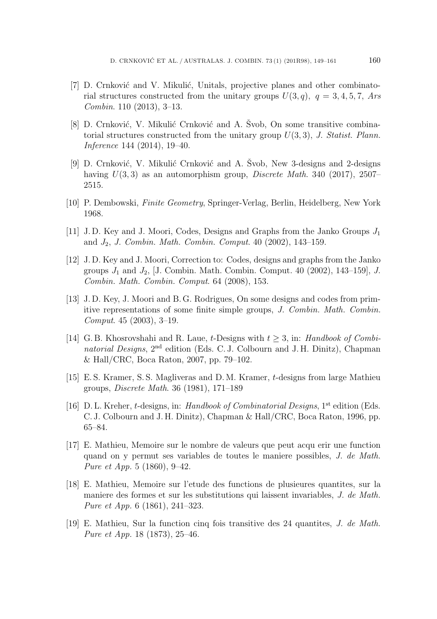- [7] D. Crnković and V. Mikulić, Unitals, projective planes and other combinatorial structures constructed from the unitary groups  $U(3, q)$ ,  $q = 3, 4, 5, 7, Ars$ *Combin*. 110 (2013), 3–13.
- [8] D. Crnković, V. Mikulić Crnković and A. Svob, On some transitive combinatorial structures constructed from the unitary group U(3, 3), *J. Statist. Plann. Inference* 144 (2014), 19–40.
- [9] D. Crnković, V. Mikulić Crnković and A. Svob, New 3-designs and 2-designs having U(3, 3) as an automorphism group, *Discrete Math*. 340 (2017), 2507– 2515.
- [10] P. Dembowski, *Finite Geometry*, Springer-Verlag, Berlin, Heidelberg, New York 1968.
- [11] J.D. Key and J. Moori, Codes, Designs and Graphs from the Janko Groups  $J_1$ and J<sup>2</sup>, *J. Combin. Math. Combin. Comput*. 40 (2002), 143–159.
- [12] J. D. Key and J. Moori, Correction to: Codes, designs and graphs from the Janko groups  $J_1$  and  $J_2$ , [J. Combin. Math. Combin. Comput. 40 (2002), 143–159], *J. Combin. Math. Combin. Comput*. 64 (2008), 153.
- [13] J. D. Key, J. Moori and B. G. Rodrigues, On some designs and codes from primitive representations of some finite simple groups, *J. Combin. Math. Combin. Comput*. 45 (2003), 3–19.
- [14] G. B. Khosrovshahi and R. Laue, t-Designs with t <sup>≥</sup> 3, in: *Handbook of Combinatorial Designs*, 2nd edition (Eds. C. J. Colbourn and J. H. Dinitz), Chapman & Hall/CRC, Boca Raton, 2007, pp. 79–102.
- [15] E. S. Kramer, S. S. Magliveras and D. M. Kramer, t-designs from large Mathieu groups, *Discrete Math*. 36 (1981), 171–189
- [16] D. L. Kreher, <sup>t</sup>-designs, in: *Handbook of Combinatorial Designs*, 1st edition (Eds. C. J. Colbourn and J. H. Dinitz), Chapman & Hall/CRC, Boca Raton, 1996, pp. 65–84.
- [17] E. Mathieu, Memoire sur le nombre de valeurs que peut acqu erir une function quand on y permut ses variables de toutes le maniere possibles, *J. de Math. Pure et App.* 5 (1860), 9–42.
- [18] E. Mathieu, Memoire sur l'etude des functions de plusieures quantites, sur la maniere des formes et sur les substitutions qui laissent invariables, *J. de Math. Pure et App.* 6 (1861), 241–323.
- [19] E. Mathieu, Sur la function cinq fois transitive des 24 quantites, *J. de Math. Pure et App.* 18 (1873), 25–46.